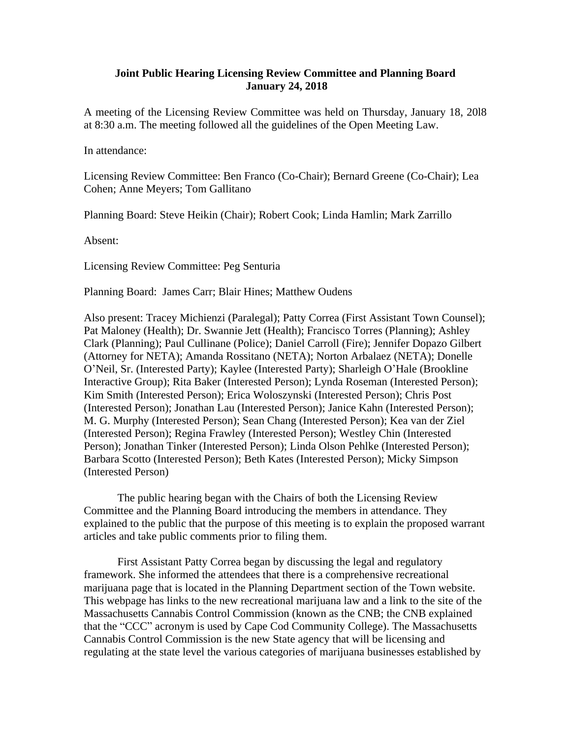## **Joint Public Hearing Licensing Review Committee and Planning Board January 24, 2018**

A meeting of the Licensing Review Committee was held on Thursday, January 18, 20l8 at 8:30 a.m. The meeting followed all the guidelines of the Open Meeting Law.

In attendance:

Licensing Review Committee: Ben Franco (Co-Chair); Bernard Greene (Co-Chair); Lea Cohen; Anne Meyers; Tom Gallitano

Planning Board: Steve Heikin (Chair); Robert Cook; Linda Hamlin; Mark Zarrillo

Absent:

Licensing Review Committee: Peg Senturia

Planning Board: James Carr; Blair Hines; Matthew Oudens

Also present: Tracey Michienzi (Paralegal); Patty Correa (First Assistant Town Counsel); Pat Maloney (Health); Dr. Swannie Jett (Health); Francisco Torres (Planning); Ashley Clark (Planning); Paul Cullinane (Police); Daniel Carroll (Fire); Jennifer Dopazo Gilbert (Attorney for NETA); Amanda Rossitano (NETA); Norton Arbalaez (NETA); Donelle O'Neil, Sr. (Interested Party); Kaylee (Interested Party); Sharleigh O'Hale (Brookline Interactive Group); Rita Baker (Interested Person); Lynda Roseman (Interested Person); Kim Smith (Interested Person); Erica Woloszynski (Interested Person); Chris Post (Interested Person); Jonathan Lau (Interested Person); Janice Kahn (Interested Person); M. G. Murphy (Interested Person); Sean Chang (Interested Person); Kea van der Ziel (Interested Person); Regina Frawley (Interested Person); Westley Chin (Interested Person); Jonathan Tinker (Interested Person); Linda Olson Pehlke (Interested Person); Barbara Scotto (Interested Person); Beth Kates (Interested Person); Micky Simpson (Interested Person)

The public hearing began with the Chairs of both the Licensing Review Committee and the Planning Board introducing the members in attendance. They explained to the public that the purpose of this meeting is to explain the proposed warrant articles and take public comments prior to filing them.

First Assistant Patty Correa began by discussing the legal and regulatory framework. She informed the attendees that there is a comprehensive recreational marijuana page that is located in the Planning Department section of the Town website. This webpage has links to the new recreational marijuana law and a link to the site of the Massachusetts Cannabis Control Commission (known as the CNB; the CNB explained that the "CCC" acronym is used by Cape Cod Community College). The Massachusetts Cannabis Control Commission is the new State agency that will be licensing and regulating at the state level the various categories of marijuana businesses established by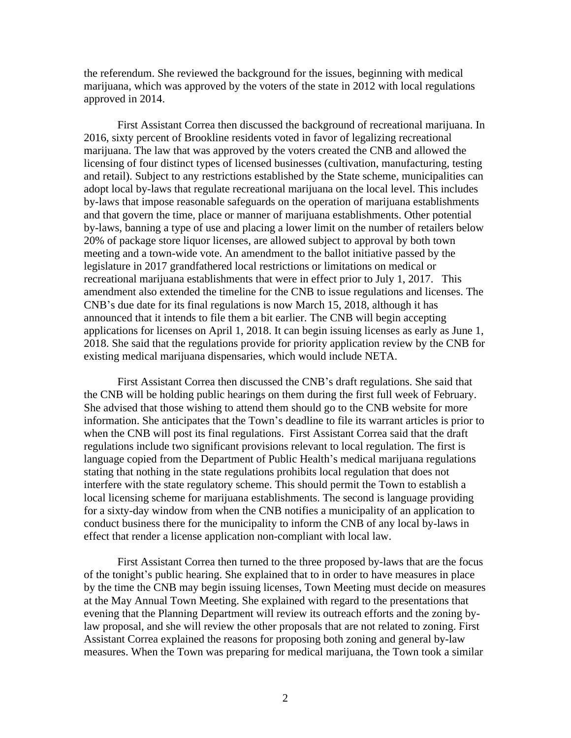the referendum. She reviewed the background for the issues, beginning with medical marijuana, which was approved by the voters of the state in 2012 with local regulations approved in 2014.

First Assistant Correa then discussed the background of recreational marijuana. In 2016, sixty percent of Brookline residents voted in favor of legalizing recreational marijuana. The law that was approved by the voters created the CNB and allowed the licensing of four distinct types of licensed businesses (cultivation, manufacturing, testing and retail). Subject to any restrictions established by the State scheme, municipalities can adopt local by-laws that regulate recreational marijuana on the local level. This includes by-laws that impose reasonable safeguards on the operation of marijuana establishments and that govern the time, place or manner of marijuana establishments. Other potential by-laws, banning a type of use and placing a lower limit on the number of retailers below 20% of package store liquor licenses, are allowed subject to approval by both town meeting and a town-wide vote. An amendment to the ballot initiative passed by the legislature in 2017 grandfathered local restrictions or limitations on medical or recreational marijuana establishments that were in effect prior to July 1, 2017. This amendment also extended the timeline for the CNB to issue regulations and licenses. The CNB's due date for its final regulations is now March 15, 2018, although it has announced that it intends to file them a bit earlier. The CNB will begin accepting applications for licenses on April 1, 2018. It can begin issuing licenses as early as June 1, 2018. She said that the regulations provide for priority application review by the CNB for existing medical marijuana dispensaries, which would include NETA.

First Assistant Correa then discussed the CNB's draft regulations. She said that the CNB will be holding public hearings on them during the first full week of February. She advised that those wishing to attend them should go to the CNB website for more information. She anticipates that the Town's deadline to file its warrant articles is prior to when the CNB will post its final regulations. First Assistant Correa said that the draft regulations include two significant provisions relevant to local regulation. The first is language copied from the Department of Public Health's medical marijuana regulations stating that nothing in the state regulations prohibits local regulation that does not interfere with the state regulatory scheme. This should permit the Town to establish a local licensing scheme for marijuana establishments. The second is language providing for a sixty-day window from when the CNB notifies a municipality of an application to conduct business there for the municipality to inform the CNB of any local by-laws in effect that render a license application non-compliant with local law.

First Assistant Correa then turned to the three proposed by-laws that are the focus of the tonight's public hearing. She explained that to in order to have measures in place by the time the CNB may begin issuing licenses, Town Meeting must decide on measures at the May Annual Town Meeting. She explained with regard to the presentations that evening that the Planning Department will review its outreach efforts and the zoning bylaw proposal, and she will review the other proposals that are not related to zoning. First Assistant Correa explained the reasons for proposing both zoning and general by-law measures. When the Town was preparing for medical marijuana, the Town took a similar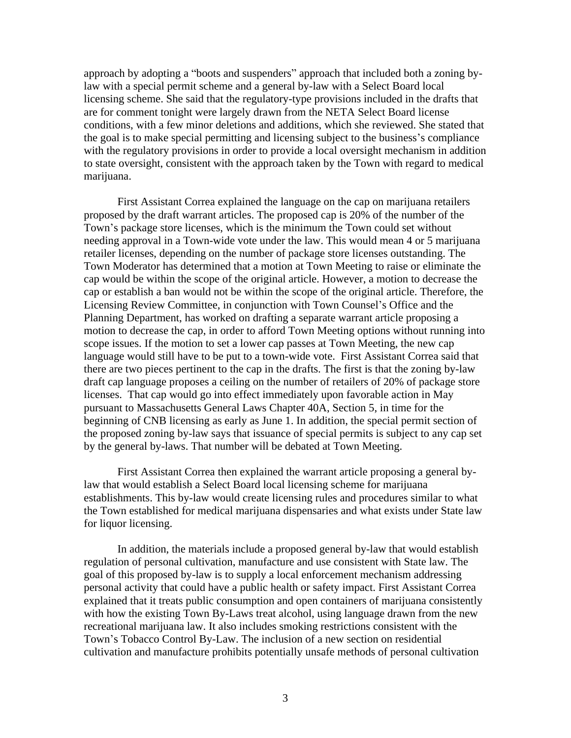approach by adopting a "boots and suspenders" approach that included both a zoning bylaw with a special permit scheme and a general by-law with a Select Board local licensing scheme. She said that the regulatory-type provisions included in the drafts that are for comment tonight were largely drawn from the NETA Select Board license conditions, with a few minor deletions and additions, which she reviewed. She stated that the goal is to make special permitting and licensing subject to the business's compliance with the regulatory provisions in order to provide a local oversight mechanism in addition to state oversight, consistent with the approach taken by the Town with regard to medical marijuana.

First Assistant Correa explained the language on the cap on marijuana retailers proposed by the draft warrant articles. The proposed cap is 20% of the number of the Town's package store licenses, which is the minimum the Town could set without needing approval in a Town-wide vote under the law. This would mean 4 or 5 marijuana retailer licenses, depending on the number of package store licenses outstanding. The Town Moderator has determined that a motion at Town Meeting to raise or eliminate the cap would be within the scope of the original article. However, a motion to decrease the cap or establish a ban would not be within the scope of the original article. Therefore, the Licensing Review Committee, in conjunction with Town Counsel's Office and the Planning Department, has worked on drafting a separate warrant article proposing a motion to decrease the cap, in order to afford Town Meeting options without running into scope issues. If the motion to set a lower cap passes at Town Meeting, the new cap language would still have to be put to a town-wide vote. First Assistant Correa said that there are two pieces pertinent to the cap in the drafts. The first is that the zoning by-law draft cap language proposes a ceiling on the number of retailers of 20% of package store licenses. That cap would go into effect immediately upon favorable action in May pursuant to Massachusetts General Laws Chapter 40A, Section 5, in time for the beginning of CNB licensing as early as June 1. In addition, the special permit section of the proposed zoning by-law says that issuance of special permits is subject to any cap set by the general by-laws. That number will be debated at Town Meeting.

First Assistant Correa then explained the warrant article proposing a general bylaw that would establish a Select Board local licensing scheme for marijuana establishments. This by-law would create licensing rules and procedures similar to what the Town established for medical marijuana dispensaries and what exists under State law for liquor licensing.

In addition, the materials include a proposed general by-law that would establish regulation of personal cultivation, manufacture and use consistent with State law. The goal of this proposed by-law is to supply a local enforcement mechanism addressing personal activity that could have a public health or safety impact. First Assistant Correa explained that it treats public consumption and open containers of marijuana consistently with how the existing Town By-Laws treat alcohol, using language drawn from the new recreational marijuana law. It also includes smoking restrictions consistent with the Town's Tobacco Control By-Law. The inclusion of a new section on residential cultivation and manufacture prohibits potentially unsafe methods of personal cultivation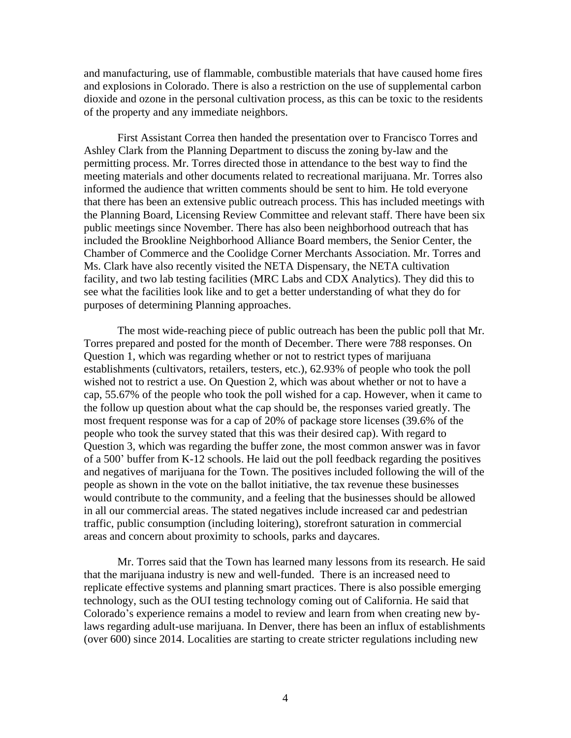and manufacturing, use of flammable, combustible materials that have caused home fires and explosions in Colorado. There is also a restriction on the use of supplemental carbon dioxide and ozone in the personal cultivation process, as this can be toxic to the residents of the property and any immediate neighbors.

First Assistant Correa then handed the presentation over to Francisco Torres and Ashley Clark from the Planning Department to discuss the zoning by-law and the permitting process. Mr. Torres directed those in attendance to the best way to find the meeting materials and other documents related to recreational marijuana. Mr. Torres also informed the audience that written comments should be sent to him. He told everyone that there has been an extensive public outreach process. This has included meetings with the Planning Board, Licensing Review Committee and relevant staff. There have been six public meetings since November. There has also been neighborhood outreach that has included the Brookline Neighborhood Alliance Board members, the Senior Center, the Chamber of Commerce and the Coolidge Corner Merchants Association. Mr. Torres and Ms. Clark have also recently visited the NETA Dispensary, the NETA cultivation facility, and two lab testing facilities (MRC Labs and CDX Analytics). They did this to see what the facilities look like and to get a better understanding of what they do for purposes of determining Planning approaches.

The most wide-reaching piece of public outreach has been the public poll that Mr. Torres prepared and posted for the month of December. There were 788 responses. On Question 1, which was regarding whether or not to restrict types of marijuana establishments (cultivators, retailers, testers, etc.), 62.93% of people who took the poll wished not to restrict a use. On Question 2, which was about whether or not to have a cap, 55.67% of the people who took the poll wished for a cap. However, when it came to the follow up question about what the cap should be, the responses varied greatly. The most frequent response was for a cap of 20% of package store licenses (39.6% of the people who took the survey stated that this was their desired cap). With regard to Question 3, which was regarding the buffer zone, the most common answer was in favor of a 500' buffer from K-12 schools. He laid out the poll feedback regarding the positives and negatives of marijuana for the Town. The positives included following the will of the people as shown in the vote on the ballot initiative, the tax revenue these businesses would contribute to the community, and a feeling that the businesses should be allowed in all our commercial areas. The stated negatives include increased car and pedestrian traffic, public consumption (including loitering), storefront saturation in commercial areas and concern about proximity to schools, parks and daycares.

Mr. Torres said that the Town has learned many lessons from its research. He said that the marijuana industry is new and well-funded. There is an increased need to replicate effective systems and planning smart practices. There is also possible emerging technology, such as the OUI testing technology coming out of California. He said that Colorado's experience remains a model to review and learn from when creating new bylaws regarding adult-use marijuana. In Denver, there has been an influx of establishments (over 600) since 2014. Localities are starting to create stricter regulations including new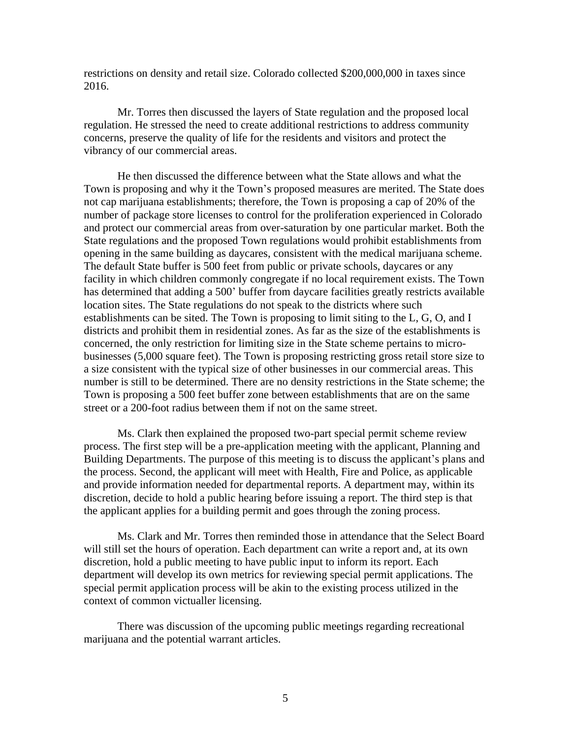restrictions on density and retail size. Colorado collected \$200,000,000 in taxes since 2016.

Mr. Torres then discussed the layers of State regulation and the proposed local regulation. He stressed the need to create additional restrictions to address community concerns, preserve the quality of life for the residents and visitors and protect the vibrancy of our commercial areas.

He then discussed the difference between what the State allows and what the Town is proposing and why it the Town's proposed measures are merited. The State does not cap marijuana establishments; therefore, the Town is proposing a cap of 20% of the number of package store licenses to control for the proliferation experienced in Colorado and protect our commercial areas from over-saturation by one particular market. Both the State regulations and the proposed Town regulations would prohibit establishments from opening in the same building as daycares, consistent with the medical marijuana scheme. The default State buffer is 500 feet from public or private schools, daycares or any facility in which children commonly congregate if no local requirement exists. The Town has determined that adding a 500' buffer from daycare facilities greatly restricts available location sites. The State regulations do not speak to the districts where such establishments can be sited. The Town is proposing to limit siting to the L, G, O, and I districts and prohibit them in residential zones. As far as the size of the establishments is concerned, the only restriction for limiting size in the State scheme pertains to microbusinesses (5,000 square feet). The Town is proposing restricting gross retail store size to a size consistent with the typical size of other businesses in our commercial areas. This number is still to be determined. There are no density restrictions in the State scheme; the Town is proposing a 500 feet buffer zone between establishments that are on the same street or a 200-foot radius between them if not on the same street.

Ms. Clark then explained the proposed two-part special permit scheme review process. The first step will be a pre-application meeting with the applicant, Planning and Building Departments. The purpose of this meeting is to discuss the applicant's plans and the process. Second, the applicant will meet with Health, Fire and Police, as applicable and provide information needed for departmental reports. A department may, within its discretion, decide to hold a public hearing before issuing a report. The third step is that the applicant applies for a building permit and goes through the zoning process.

Ms. Clark and Mr. Torres then reminded those in attendance that the Select Board will still set the hours of operation. Each department can write a report and, at its own discretion, hold a public meeting to have public input to inform its report. Each department will develop its own metrics for reviewing special permit applications. The special permit application process will be akin to the existing process utilized in the context of common victualler licensing.

There was discussion of the upcoming public meetings regarding recreational marijuana and the potential warrant articles.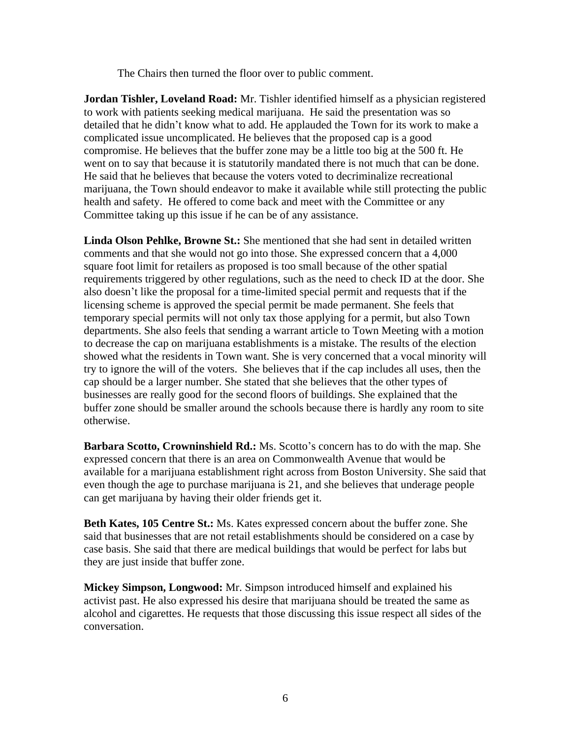The Chairs then turned the floor over to public comment.

**Jordan Tishler, Loveland Road:** Mr. Tishler identified himself as a physician registered to work with patients seeking medical marijuana. He said the presentation was so detailed that he didn't know what to add. He applauded the Town for its work to make a complicated issue uncomplicated. He believes that the proposed cap is a good compromise. He believes that the buffer zone may be a little too big at the 500 ft. He went on to say that because it is statutorily mandated there is not much that can be done. He said that he believes that because the voters voted to decriminalize recreational marijuana, the Town should endeavor to make it available while still protecting the public health and safety. He offered to come back and meet with the Committee or any Committee taking up this issue if he can be of any assistance.

**Linda Olson Pehlke, Browne St.:** She mentioned that she had sent in detailed written comments and that she would not go into those. She expressed concern that a 4,000 square foot limit for retailers as proposed is too small because of the other spatial requirements triggered by other regulations, such as the need to check ID at the door. She also doesn't like the proposal for a time-limited special permit and requests that if the licensing scheme is approved the special permit be made permanent. She feels that temporary special permits will not only tax those applying for a permit, but also Town departments. She also feels that sending a warrant article to Town Meeting with a motion to decrease the cap on marijuana establishments is a mistake. The results of the election showed what the residents in Town want. She is very concerned that a vocal minority will try to ignore the will of the voters. She believes that if the cap includes all uses, then the cap should be a larger number. She stated that she believes that the other types of businesses are really good for the second floors of buildings. She explained that the buffer zone should be smaller around the schools because there is hardly any room to site otherwise.

**Barbara Scotto, Crowninshield Rd.:** Ms. Scotto's concern has to do with the map. She expressed concern that there is an area on Commonwealth Avenue that would be available for a marijuana establishment right across from Boston University. She said that even though the age to purchase marijuana is 21, and she believes that underage people can get marijuana by having their older friends get it.

**Beth Kates, 105 Centre St.:** Ms. Kates expressed concern about the buffer zone. She said that businesses that are not retail establishments should be considered on a case by case basis. She said that there are medical buildings that would be perfect for labs but they are just inside that buffer zone.

**Mickey Simpson, Longwood:** Mr. Simpson introduced himself and explained his activist past. He also expressed his desire that marijuana should be treated the same as alcohol and cigarettes. He requests that those discussing this issue respect all sides of the conversation.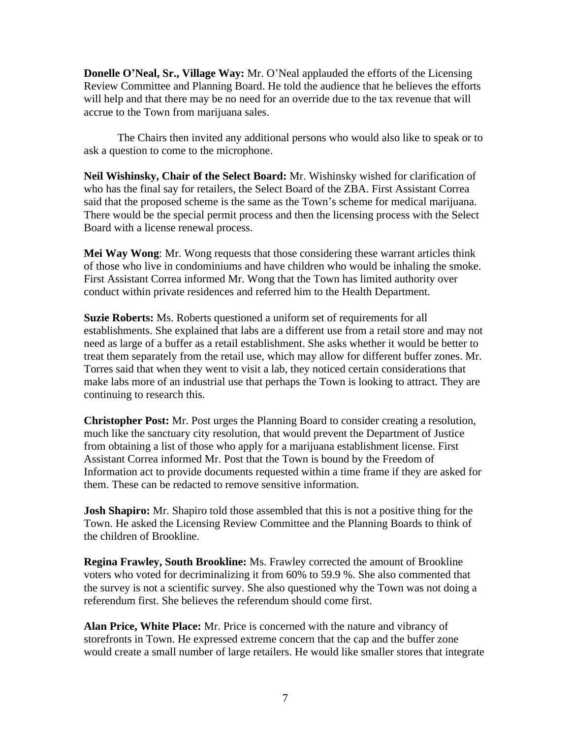**Donelle O'Neal, Sr., Village Way:** Mr. O'Neal applauded the efforts of the Licensing Review Committee and Planning Board. He told the audience that he believes the efforts will help and that there may be no need for an override due to the tax revenue that will accrue to the Town from marijuana sales.

The Chairs then invited any additional persons who would also like to speak or to ask a question to come to the microphone.

**Neil Wishinsky, Chair of the Select Board:** Mr. Wishinsky wished for clarification of who has the final say for retailers, the Select Board of the ZBA. First Assistant Correa said that the proposed scheme is the same as the Town's scheme for medical marijuana. There would be the special permit process and then the licensing process with the Select Board with a license renewal process.

**Mei Way Wong**: Mr. Wong requests that those considering these warrant articles think of those who live in condominiums and have children who would be inhaling the smoke. First Assistant Correa informed Mr. Wong that the Town has limited authority over conduct within private residences and referred him to the Health Department.

**Suzie Roberts:** Ms. Roberts questioned a uniform set of requirements for all establishments. She explained that labs are a different use from a retail store and may not need as large of a buffer as a retail establishment. She asks whether it would be better to treat them separately from the retail use, which may allow for different buffer zones. Mr. Torres said that when they went to visit a lab, they noticed certain considerations that make labs more of an industrial use that perhaps the Town is looking to attract. They are continuing to research this.

**Christopher Post:** Mr. Post urges the Planning Board to consider creating a resolution, much like the sanctuary city resolution, that would prevent the Department of Justice from obtaining a list of those who apply for a marijuana establishment license. First Assistant Correa informed Mr. Post that the Town is bound by the Freedom of Information act to provide documents requested within a time frame if they are asked for them. These can be redacted to remove sensitive information.

**Josh Shapiro:** Mr. Shapiro told those assembled that this is not a positive thing for the Town. He asked the Licensing Review Committee and the Planning Boards to think of the children of Brookline.

**Regina Frawley, South Brookline:** Ms. Frawley corrected the amount of Brookline voters who voted for decriminalizing it from 60% to 59.9 %. She also commented that the survey is not a scientific survey. She also questioned why the Town was not doing a referendum first. She believes the referendum should come first.

**Alan Price, White Place:** Mr. Price is concerned with the nature and vibrancy of storefronts in Town. He expressed extreme concern that the cap and the buffer zone would create a small number of large retailers. He would like smaller stores that integrate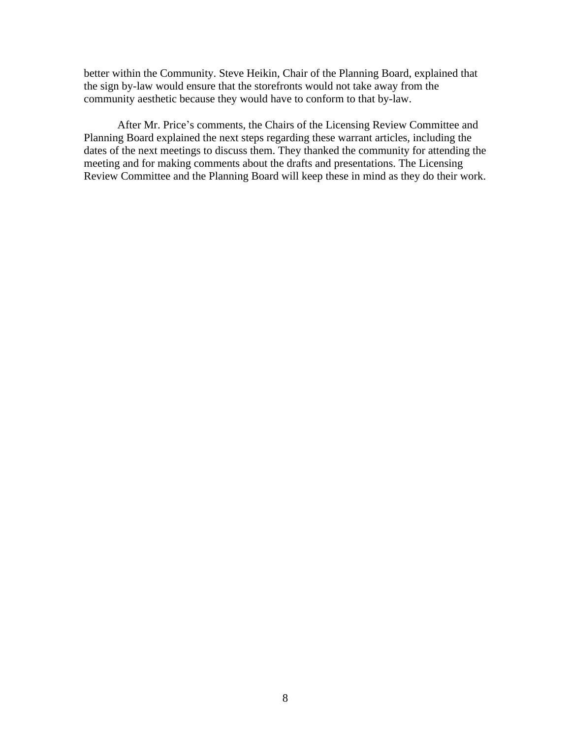better within the Community. Steve Heikin, Chair of the Planning Board, explained that the sign by-law would ensure that the storefronts would not take away from the community aesthetic because they would have to conform to that by-law.

After Mr. Price's comments, the Chairs of the Licensing Review Committee and Planning Board explained the next steps regarding these warrant articles, including the dates of the next meetings to discuss them. They thanked the community for attending the meeting and for making comments about the drafts and presentations. The Licensing Review Committee and the Planning Board will keep these in mind as they do their work.